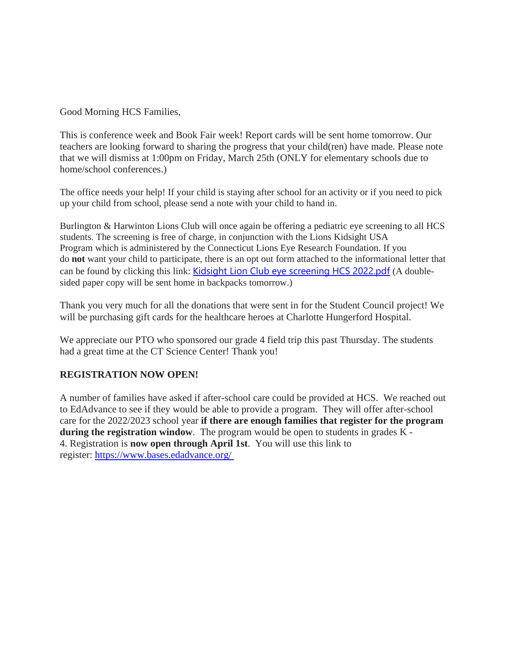Good Morning HCS Families,

This is conference week and Book Fair week! Report cards will be sent home tomorrow. Our teachers are looking forward to sharing the progress that your child(ren) have made. Please note that we will dismiss at 1:00pm on Friday, March 25th (ONLY for elementary schools due to home/school conferences.)

The office needs your help! If your child is staying after school for an activity or if you need to pick up your child from school, please send a note with your child to hand in.

Burlington & Harwinton Lions Club will once again be offering a pediatric eye screening to all HCS students. The screening is free of charge, in conjunction with the Lions Kidsight USA Program which is administered by the Connecticut Lions Eye Research Foundation. If you do **not** want your child to participate, there is an opt out form attached to the informational letter that can be found by clicking this link: Kidsight Lion Club eye [screening](http://track.spe.schoolmessenger.com/f/a/IzROQCCDa0CSrNAX0bl5UA~~/AAAAAQA~/RgRkGDy_P0R1aHR0cHM6Ly9tc2cuc2Nob29sbWVzc2VuZ2VyLmNvbS9tLz9zPUpjcTBWTzNQaWEwJm1hbD0xYzViZDQ3ODhjNGQ3MjVmMGU3MTM1OTk5OGY5MmRlMjczYmVlNzRkY2UyN2RiYTJkYTdjYjVhYmNhNjMzYmU5VwdzY2hvb2xtQgpiKj8JN2IJp-U_UhliYWxsZXJpbmlhQHJlZ2lvbjEwY3Qub3JnWAQAAAAB) HCS 2022.pdf (A doublesided paper copy will be sent home in backpacks tomorrow.)

Thank you very much for all the donations that were sent in for the Student Council project! We will be purchasing gift cards for the healthcare heroes at Charlotte Hungerford Hospital.

We appreciate our PTO who sponsored our grade 4 field trip this past Thursday. The students had a great time at the CT Science Center! Thank you!

#### **REGISTRATION NOW OPEN!**

A number of families have asked if after-school care could be provided at HCS. We reached out to EdAdvance to see if they would be able to provide a program. They will offer after-school care for the 2022/2023 school year **if there are enough families that register for the program during the registration window**. The program would be open to students in grades K - 4. Registration is **now open through April 1st**. You will use this link to register: [https://www.bases.edadvance.org/](http://track.spe.schoolmessenger.com/f/a/iqWn4OIRsnPcf4Bqbd7q-A~~/AAAAAQA~/RgRkGDy_P4TLAmh0dHA6Ly90cmFjay5zcGUuc2Nob29sbWVzc2VuZ2VyLmNvbS9mL2EvZWR1VEhwTl90LWtwaG9IUV9RX01vZ35-L0FBQUFBUUF-L1JnUmtEd0pBUDRTakFXaDBkSEE2THk5MGNtRmpheTV6Y0dVdWMyTm9iMjlzYldWemMyVnVaMlZ5TG1OdmJTOW1MMkV2UkRaMWIzQk9SbEZUTURaUlZYUjNOR3hYU1ZKU2QzNS1MMEZCUVVGQlVVRi1MMUpuVW10Q1pGaE9VREJVU0dGSVVqQmpSRzkyVEROU2VWbFhUbkpNYms1M1dsTTFlbGt5YUhaaU1uaDBXbGhPZWxwWE5XNWFXRWwxV1RJNWRFd3lXWFpaVXpsR1kycFdXbFJWVmxoU01HeFZVVlphV0dWV2NHMVdhazV2VlVaS2JtWnVOSFpSVlVaQ1VWVkdVbEZZTkhaVmJXUlRZV3c1YmxOSGNGRk5Sa1p1V1ZWb1UwMUhUa2xVVkZwTlpWUnJlbHBFVG1wa1ZteDBVbTV3WVZkRk1URlhiR1JUWVVad1NWZHRhR2xpVlRWelZFY3dOV1ZXY0RWUFZtaERUVEExY1ZsVll6VmtiVXBJVFZWT1JHSlZiRmhYVkdjd1dURnNjbEZWVWpSa1dHaFVVbXhvUzJSdFNsaFdibHByVWxWS05WZHNaR3RqUjBsNVRraG9UbEl3TkhkVVJ6QTFaVlp2ZUZvd1ZrSlJWVVpDVVZaR0xXWnNZMGhqTWs1dllqSTVjMkpWU1V0WmFERk9iMmxTYVVSZmJUbHZNVWxXWTIwNWRGcFhPVEJSU0Vwc1dqSnNkbUpxUlhkWk0xRjFZak5LYmxkQlVVRkJRVUZDVndkelkyaHZiMnh0UWdwaUtzRE9MV0lrOC1hX1VoVnliMjFsYjNSQWNtVm5hVzl1TVRCamRDNXZjbWRZQkFBQUFBRX5XB3NjaG9vbG1CCmIqPwk3Ygmn5T9SGWJhbGxlcmluaWFAcmVnaW9uMTBjdC5vcmdYBAAAAAE~)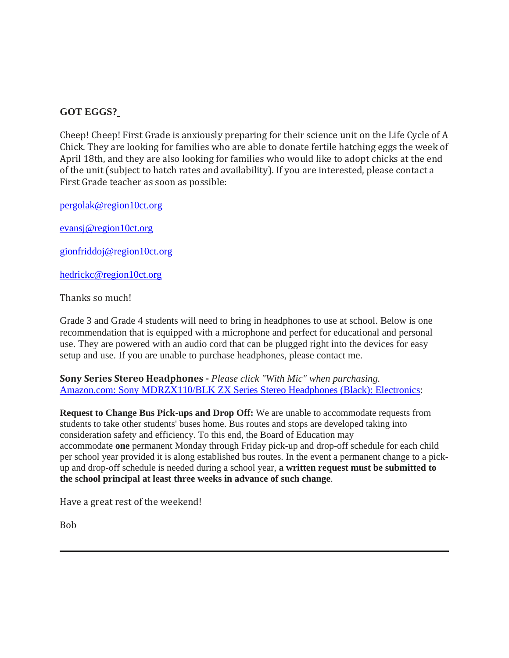# **GOT EGGS?**

Cheep! Cheep! First Grade is anxiously preparing for their science unit on the Life Cycle of A Chick. They are looking for families who are able to donate fertile hatching eggs the week of April 18th, and they are also looking for families who would like to adopt chicks at the end of the unit (subject to hatch rates and availability). If you are interested, please contact a First Grade teacher as soon as possible:

[pergolak@region10ct.org](mailto:pergolak@region10ct.org)

[evansj@region10ct.org](mailto:evansj@region10ct.org)

[gionfriddoj@region10ct.org](mailto:gionfriddoj@region10ct.org)

[hedrickc@region10ct.org](mailto:hedrickc@region10ct.org)

Thanks so much!

Grade 3 and Grade 4 students will need to bring in headphones to use at school. Below is one recommendation that is equipped with a microphone and perfect for educational and personal use. They are powered with an audio cord that can be plugged right into the devices for easy setup and use. If you are unable to purchase headphones, please contact me.

**Sony Series Stereo Headphones -** *Please click "With Mic" when purchasing.* Amazon.com: Sony [MDRZX110/BLK](http://track.spe.schoolmessenger.com/f/a/0NpaADU3U6Jq1VE08uERCA~~/AAAAAQA~/RgRkGDy_P4TTAmh0dHA6Ly90cmFjay5zcGUuc2Nob29sbWVzc2VuZ2VyLmNvbS9mL2EvVlJmaGRYR1JqeXRtQnFHRVFITkVZQX5-L0FBQUFBUUF-L1JnUmtEd0pBUDRTckFXaDBkSEE2THk5MGNtRmpheTV6Y0dVdWMyTm9iMjlzYldWemMyVnVaMlZ5TG1OdmJTOW1MMkV2ZDBSUVpYUk1iVWRaWWtvMlJEazFlWFJJVUV0dGQzNS1MMEZCUVVGQlVVRi1MMUpuVW10Q1pGaE9VREJVVEdGSVVqQmpTRTAyVEhrNU0yUXpZM1ZaVnpGb1pXMDVkVXh0VG5aaVV6bFVZakkxTlV4Vk1VVlZiSEJaVFZSRmQweFZTazFUZVRGVVpFZFdlVnBYT0hSVFIxWm9Xa2hDYjJJeU5XeGplVGxyWTBNNVEwMUVRbEJXVm1jeVZsUmFTRXd6U214YWFqRjZZMnc0ZUZoNlRWOVpNMHB3V2tRd2VVMUdjRVJSTUZrelZVWnNUbFJGYUVsS2JWSnFZVWRzYzFwRU1IaEtiWFJzWlZoa2RtTnRVbnBRVjJoc1dWZFNkMkZIT1hWYVdFMXRZMWRzYTFCVVJUSk5SR2Q0VFhwWmVVNUVhMjFqZWpGc1lrZFdhbVJJU25aaWJXeHFZM2xhZW1OSVNteGFiV3cwVUZWb2JGbFhVbmRoUnpsMVdsaE5iRTFyVG1oalNFMXNUV3ROZUU5VVRXMWpNMGs1VFZNd2VrcHVVbTlRVkVaWVFqTk9hbUZIT1haaVJ6RkRRMjFKWkZSaFNXdFpaMTgxZG1GT1UwWllTblppVjFaMlpFVkNlVnBYWkhCaU1qUjRUVWRPTUV4dE9YbGFNV2RGUVVGQlFVRlJmbjVYQjNOamFHOXZiRzFDQ21JcXdNNHRZaWlsZWRoU0UzSnNZbTl2ZEdoeWJrQjVZV2h2Ynk1amIyMVlCQUFBQUFFflcHc2Nob29sbUIKYio_CTdiCaflP1IZYmFsbGVyaW5pYUByZWdpb24xMGN0Lm9yZ1gEAAAAAQ~~) ZX Series Stereo Headphones (Black): Electronics:

**Request to Change Bus Pick-ups and Drop Off:** We are unable to accommodate requests from students to take other students' buses home. Bus routes and stops are developed taking into consideration safety and efficiency. To this end, the Board of Education may accommodate **one** permanent Monday through Friday pick-up and drop-off schedule for each child per school year provided it is along established bus routes. In the event a permanent change to a pickup and drop-off schedule is needed during a school year, **a written request must be submitted to the school principal at least three weeks in advance of such change**.

Have a great rest of the weekend! 

Bob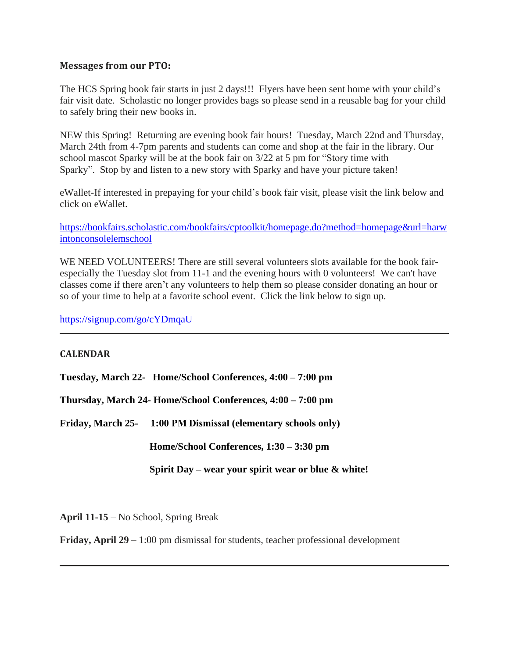### **Messages from our PTO:**

The HCS Spring book fair starts in just 2 days!!! Flyers have been sent home with your child's fair visit date. Scholastic no longer provides bags so please send in a reusable bag for your child to safely bring their new books in.

NEW this Spring! Returning are evening book fair hours! Tuesday, March 22nd and Thursday, March 24th from 4-7pm parents and students can come and shop at the fair in the library. Our school mascot Sparky will be at the book fair on 3/22 at 5 pm for "Story time with Sparky". Stop by and listen to a new story with Sparky and have your picture taken!

eWallet-If interested in prepaying for your child's book fair visit, please visit the link below and click on eWallet.

[https://bookfairs.scholastic.com/bookfairs/cptoolkit/homepage.do?method=homepage&url=harw](http://track.spe.schoolmessenger.com/f/a/o7nJHkRs8fa8Iw3_OAdS8Q~~/AAAAAQA~/RgRkGDy_P0RuaHR0cHM6Ly9ib29rZmFpcnMuc2Nob2xhc3RpYy5jb20vYm9va2ZhaXJzL2NwdG9vbGtpdC9ob21lcGFnZS5kbz9tZXRob2Q9aG9tZXBhZ2UmdXJsPWhhcndpbnRvbmNvbnNvbGVsZW1zY2hvb2xXB3NjaG9vbG1CCmIqPwk3Ygmn5T9SGWJhbGxlcmluaWFAcmVnaW9uMTBjdC5vcmdYBAAAAAE~) [intonconsolelemschool](http://track.spe.schoolmessenger.com/f/a/o7nJHkRs8fa8Iw3_OAdS8Q~~/AAAAAQA~/RgRkGDy_P0RuaHR0cHM6Ly9ib29rZmFpcnMuc2Nob2xhc3RpYy5jb20vYm9va2ZhaXJzL2NwdG9vbGtpdC9ob21lcGFnZS5kbz9tZXRob2Q9aG9tZXBhZ2UmdXJsPWhhcndpbnRvbmNvbnNvbGVsZW1zY2hvb2xXB3NjaG9vbG1CCmIqPwk3Ygmn5T9SGWJhbGxlcmluaWFAcmVnaW9uMTBjdC5vcmdYBAAAAAE~)

WE NEED VOLUNTEERS! There are still several volunteers slots available for the book fairespecially the Tuesday slot from 11-1 and the evening hours with 0 volunteers! We can't have classes come if there aren't any volunteers to help them so please consider donating an hour or so of your time to help at a favorite school event. Click the link below to sign up.

[https://signup.com/go/cYDmqaU](http://track.spe.schoolmessenger.com/f/a/gguSuuIfdo4pCFYkFRiiQg~~/AAAAAQA~/RgRkGDy_P0TTaHR0cHM6Ly9saW5rcHJvdGVjdC5jdWRhc3ZjLmNvbS91cmw_YT1odHRwcyUzYSUyZiUyZnNpZ251cC5jb20lMmZnbyUyZmNZRG1xYVUmYz1FLDEsTngxeXpuT2dDenk1dXdvb3RzZWVnMllwOHpQNDBRenBmc1lXUGwyWjNvQXpOZ3lVbVVjeHlQUmk5c2hDaGxRWTVqVnI5RUlxODBLWXVNRmp0ZEQyNXJaRUl5SHdmNlRLelcyQlIyTkJua09wZ3BXdUg0Zk9tclksJnR5cG89MVcHc2Nob29sbUIKYio_CTdiCaflP1IZYmFsbGVyaW5pYUByZWdpb24xMGN0Lm9yZ1gEAAAAAQ~~)

#### **CALENDAR**

**Tuesday, March 22- Home/School Conferences, 4:00 – 7:00 pm**

**Thursday, March 24- Home/School Conferences, 4:00 – 7:00 pm**

**Friday, March 25- 1:00 PM Dismissal (elementary schools only)**

 **Home/School Conferences, 1:30 – 3:30 pm**

 **Spirit Day – wear your spirit wear or blue & white!**

**April 11-15** – No School, Spring Break

**Friday, April 29** – 1:00 pm dismissal for students, teacher professional development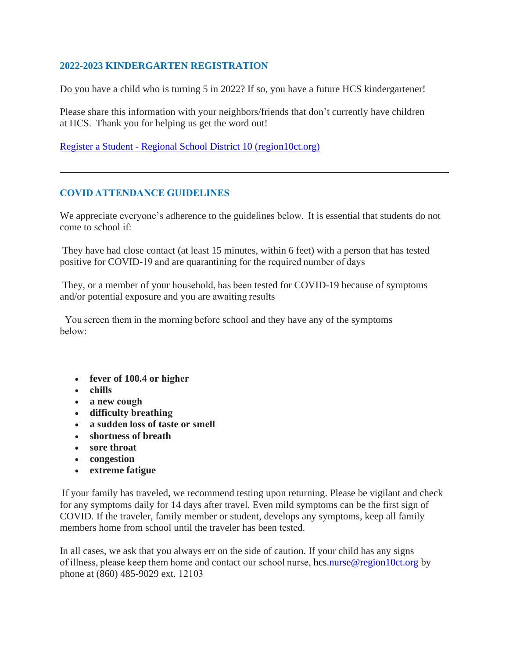### **2022-2023 KINDERGARTEN REGISTRATION**

Do you have a child who is turning 5 in 2022? If so, you have a future HCS kindergartener!

Please share this information with your neighbors/friends that don't currently have children at HCS.  Thank you for helping us get the word out!

Register a Student - Regional School District 10 [\(region10ct.org\)](http://track.spe.schoolmessenger.com/f/a/PR68deyYc1jAWYXZZ_Zkvg~~/AAAAAQA~/RgRkGDy_P4SvBmh0dHA6Ly90cmFjay5zcGUuc2Nob29sbWVzc2VuZ2VyLmNvbS9mL2EvNXF5UmtqU09UQTIwVUg2RThKZlFpd35-L0FBQUFBUUF-L1JnUmtEd0pBUDRTUEJHaDBkSEE2THk5MGNtRmpheTV6Y0dVdWMyTm9iMjlzYldWemMyVnVaMlZ5TG1OdmJTOW1MMkV2VDE5TFdEVkhSRWsyV25OR0xWWnFaRVZwYWpSalFYNS1MMEZCUVVGQlVVRi1MMUpuVW10Q1pGaE9VRFJVTTBGdGFEQmtTRUUyVEhrNU1HTnRSbXBoZVRWNlkwZFZkV015VG05aU1qbHpZbGRXZW1NeVZuVmFNbFo1VEcxT2RtSlRPVzFNTWtWMlRURktSMlJGYUVwVlIyeHNXbTFzYVdWWGVHeFViWEJwWlZSU1NXUXpOUzFNTUVaQ1VWVkdRbFZWUmkxTU1VcHVWVzF3WmxOdVVsQlZSRkpWVWtWR1dHRkVRbXRUUlVVeVZFaHJOVTFIVG5SU2JYQm9aVlJXTmxrd1pGWmtWMDE1VkcwNWFVMXFiSHBaYkdSWFpXMU5lVlp1Vm1GTmJGbzFWRWN4VDJSdFNsUlBWekZOVFd0V01sbHNhRmRYVjA1eFZXeGFVRlpXU2taWFZsWktUV3hSZVUxWVpHcFNSMUY2V2tjMWExTnNiM3BPVXpGTlRVVmFRMVZXVmtkUmJGWldVbWt4VFUxVmNIVldWekYyVGtVeGNsVnNTbFpTUlVwV1YyMHhSMU5XVm5GUmJYQlVVbFJCZVZaRmFISk9WMDE1VW14b1QxZEZjSEZWTUZaM1RXeHdSbHBHWkdoaVZrcEZWR3hrZDJFeFdYaFRiVGxhWldzMWFGbFhkRFJrUmxKMVYyMXNWbVZ0ZERSWFZFbDRUVEZuZUdKR1ZrNVdlbXh5VlRCYVMwMHhhM3BpUmxwc1lrZDRWVlpzYUhOWlYwWlhWbXBXV0dKVVZuSlVWRXBUVGxVMVdXSkhSbGROYkVvelYxZHdTazFIVmtaTlZXaFZZV3RLVGxsc1VuTk9WbVIxWWtaYWJGWnVRbnBWVnpGdllXMUtWMWRxUm1GU1YyaFBXV3RWZUdSR1pIVmlSMFpYVFd4S00xZFljRTlWTWtwSVZHNU9VRll5YUZwVVZFRXdaREZ3UjFwR1RtbFNNSEF4VmxaamVGZHRWbkZTYTJSVlVsWktSMWw2Umtka1JUVlhZVVV4VjJKRmIzaFdiRlp2VkRKSmVWUnVUbWhOTW1oelZtdFdTMUpzY0VkWFZGWlNZbFUxZWxsclpHRlVNa1kyVW01Q1YyRnJOVk5hUlZwWFpGZEtTV0ZHU2s1U00yaEhWbFphVjJKck5VZFhiR3hVVmtWS1VWVnJaRzlTTVZKMFRWVmthbFl4U2pCV01uaHZWRzFGZUZkdVpGVk5Wa3BJVlcweFQxWnNjRWRVYkZwc1lrWndiMVl3VWs5U01VcElWbXRzV0dKR1dtOVpiRlpYVFVaU1YxWnJaRlZXYTNBeFZUSTFWMVl4U2toaFJsSlhZa1paZDFScldsZFNNVkoxVVd4c1RrMVZjSGhXTW5CUFZEQTFWMVZZWkU5V2EwcFBWRmQ0V2sxR2JGaGxSVGxXVWpCYWVsVldVbE5XUlRGeVRsVjRXR0p0ZDNwWmVrSjNaRlpXY1ZadGNGTmxiV014VmtaYVlXRnNUa2hVV0d4VllsUnNjRlJYY0hObGJHeHpWbXR3VkUxWGVIVldiWGhIVkZaV2NtTklRbFZTVmtWNVdsYzFWMVl4VGxkWGJYQnBWa2QzZDFZeWVHcE9WVEZIVW10c1ZHSllhR2hVVnpFMFRXeHNkR05GV210TlYzUTJWbFpvVjJGVk1IZGpTRlpYVFVWYVUxVldWa2RSYkVaV1UyeG9RMDB3TlhGWlZXTTFaRzFLU0UxVlRrUmlWV3hZWlcweGFsbHNiSEpWUldoclVWVndWRkpzYUV0a2JVcFlWb)

## **COVID ATTENDANCE GUIDELINES**

We appreciate everyone's adherence to the guidelines below.  It is essential that students do not come to school if:     

 They have had close contact (at least 15 minutes, within 6 feet) with a person that has tested positive for COVID-19 and are quarantining for the required number of days     

 They, or a member of your household, has been tested for COVID-19 because of symptoms and/or potential exposure and you are awaiting results     

 You screen them in the morning before school and they have any of the symptoms below:      

- **fever of 100.4 or higher**
- **chills**
- **a new cough**
- **difficulty breathing**
- **a sudden loss of taste or smell**
- **shortness of breath**
- **sore throat**
- **congestion**
- **extreme fatigue**

 If your family has traveled, we recommend testing upon returning. Please be vigilant and check for any symptoms daily for 14 days after travel. Even mild symptoms can be the first sign of COVID. If the traveler, family member or student, develops any symptoms, keep all family members home from school until the traveler has been tested.     

In all cases, we ask that you always err on the side of caution. If your child has any signs of illness, please keep them home and contact our school nurse, [hcs.nurse@region10ct.org](mailto:hcs.nurse@region10ct.org) by phone at (860) 485-9029 ext. 12103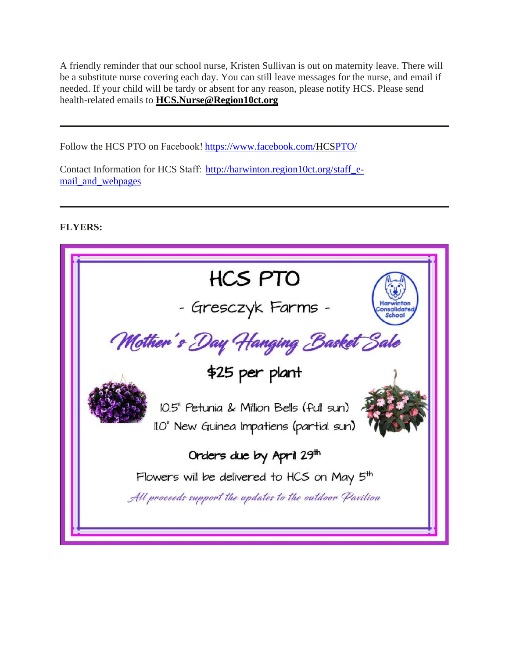A friendly reminder that our school nurse, Kristen Sullivan is out on maternity leave. There will be a substitute nurse covering each day. You can still leave messages for the nurse, and email if needed. If your child will be tardy or absent for any reason, please notify HCS. Please send health-related emails to **[HCS.Nurse@Region10ct.org](mailto:HCS.Nurse@Region10ct.org)**

Follow the HCS PTO on Facebook[! https://www.facebook.com/HCSPTO/](http://track.spe.schoolmessenger.com/f/a/OY2wFfHwzK16upzRs5q_4w~~/AAAAAQA~/RgRkGDy_P4RXBGh0dHA6Ly90cmFjay5zcGUuc2Nob29sbWVzc2VuZ2VyLmNvbS9mL2EvWGctTUxUQm9BQVc0MS1YOXFlOFptQX5-L0FBQUFBUUF-L1JnUmtEd0pBUDRUTEFtaDBkSEE2THk5MGNtRmpheTV6Y0dVdWMyTm9iMjlzYldWemMyVnVaMlZ5TG1OdmJTOW1MMkV2ZFROdFZGSTVVME5NZWt4eldYcG9Rek5TVGtkMFozNS1MMEZCUVVGQlVVRi1MMUpuVW10Q1pGaE9VRFJUYWtGWGFEQmtTRUUyVEhrNU1HTnRSbXBoZVRWNlkwZFZkV015VG05aU1qbHpZbGRXZW1NeVZuVmFNbFo1VEcxT2RtSlRPVzFNTWtWMlYyMXplR0l4VWxGVE1HZzBXVzFvYkZaNmFGTlJXRnBPWkRCR1UyUXpOUzFNTUVaQ1VWVkdRbFZWUmkxTU1VcHVWVzF3WmxOdVVsQlZSRUpWVTBkR1NWVnFRbXBTUnpreVZFUk9VMlZXYkZoVWJrcE5ZbXMxTTFkc1RURmxiR3Q1WVVoYWFVMXVhREJYYkdoUFpXeHdXRTVYTldGWFJXd3hWMVJKTldSRmQzbFhXRnBhVlhwc1JWVXlOWGRrUmxaMVdYcE9UbEpHV2pSVVZWWnZZVmRXU0UxVVdtRldWRkY2V2xaV1QySnRXblZPU0ZwU1ZsVmFRMVZXVmtkVmJFWlpUa2hhVm1KWFVsUlpWbFpIVlcxS2MxSnNSazVTYTFwMVYxWldiMVV3TVVoVWEyeFZWa1p3VGxwV1VuSmxiSEJGVkcxd2ExWnVRakJWYlRGM1dWWlpkMk5FU2xwaGEzQTJXa1phY21WVk9WbFZhekZPVWpKb1JsWnNVa2RSTVZwWFZXcFdVRlp0YUVSVVZFRXhZMVpzVmxsNlZtdGlWWEJKVkZaV1QxSkhTbFpTYldoWFZsUldZVmR0ZUhOVWJVWklZM3BPVTFKc2NGVlZiVEIzWlVkR1NGWnVWbXBTTTJodlZtNXdSMUZzYTNsTlZtUnBZbFZhV1ZReGFGZFViRnBHVTI1R1lWSlZNSGhhUnpGUFpFWndSMkpGVGxKV1ZWcERWVlpXUjFKdFduTlpNR2hxVFdzMWRsbHFTVFZqTWtwV1UxVjBXbUZIU2xCWGJtZ3dZVlpGTkZwRVFrSmlSV3hYV1RJd05XUkdjRmhQVkVKU1UwVndjMWRxU25Oa2JVcHhVbGhrV2sweFJqRlphazVMWW14a1FsVlZSa0pSVlVaRFZuZGtlbGt5YUhaaU1uaDBVV2R3YVVoVk1tbEtSMGxRTFdJeWFsVm9WbmxpTWpGc1lqTlNRV050Vm01aFZ6bDFUVlJDYW1SRE5YWmpiV1JaUWtGQlFVRkJSWDVYQjNOamFHOXZiRzFDQ21JcXdNNHRZaVR6NXI5U0ZYSnZiV1Z2ZEVCeVpXZHBiMjR4TUdOMExtOXlaMWdFQUFBQUFRfn5XB3NjaG9vbG1CCmIqPwk3Ygmn5T9SGWJhbGxlcmluaWFAcmVnaW9uMTBjdC5vcmdYBAAAAAE~) 

Contact Information for HCS Staff:[http://harwinton.region10ct.org/staff\\_e](http://track.spe.schoolmessenger.com/f/a/UFFYwwH5cYlCGRj9LZmzzA~~/AAAAAQA~/RgRkGDy_P4SnBGh0dHA6Ly90cmFjay5zcGUuc2Nob29sbWVzc2VuZ2VyLmNvbS9mL2EvNzNULV9ZNXlSTkc2d1FNT1BIMkpYQX5-L0FBQUFBUUF-L1JnUmtEd0pBUDRRSEEyaDBkSEE2THk5MGNtRmpheTV6Y0dVdWMyTm9iMjlzYldWemMyVnVaMlZ5TG1OdmJTOW1MMkV2U1ZkSGFrOVBYM2RpWm1KRFpDMVFVRll0VjBWc1FYNS1MMEZCUVVGQlVVRi1MMUpuVW10Q1pGaE9VRFJVVUVGWGFEQmtTRUUyVEhrNU1HTnRSbXBoZVRWNlkwZFZkV015VG05aU1qbHpZbGRXZW1NeVZuVmFNbFo1VEcxT2RtSlRPVzFNTWtWMlZrUmFjMDlFV2s1UlYzQkxUbTVrYldOdE5XWlJiVnBZWld3NU1sb3pOUzFNTUVaQ1VWVkdRbFZWUmkxTU1VcHVWVzF3WmxOdVVsQlZSRUpWWW0xR1NWVnFRbXBTUnpreVZFUk9VMlZXYkZoVWJrcE5ZbXMxTTFkc1RURmxiR3Q1WVVoYWFVMXVhREJYYkdoUFpXeHdXRTVYTldGWFJXd3hWMVJKTldSRmQzbFhXRnBhVlhwbmVsUlVSazlSYkVsM1YydDRWMkpzU1hsVk1qRXdWVVphVjJORldtdFNSWEJ0V1ZkNGEySnRXblZPU0ZwU1ZsVmFRMVZXVmtkVmJFWlpUa2hhVm1KWFVsUlpWbFpIVlcxS2MxSnNSazVTYTFWNFYxWldiMVV3TVVoVWExWnBUVEZ3VGxSWE1XOWlNV3Q1VGxkMGFsSXdjREZXVnpWaFlWZEdWVlpxVmxoaVIxSnlXVEJrU21WVk5VbGhSVFZUVFVSU00xWkZZM2RPVjFaWFkwUldVRmRJUW5KVmFrSmhaRVprZEdSNlZtbFNXR2haVkZaa2IyRkdXWHBoUnpGWVZtMU5lRmxVUm01bGJIQklaVVp3YVdFd2NIWldNbkJMVmpKV2MxZHFUbUZUU0VKaFZGY3hiMDFzYkhGVGFsSnJVbXRhZFZrd1pHdFRSMHBHVld4b1ZGSkZjRVpWTVZwM1ZVZFNObEpzV21oU2JrRjNWakZhYjJRd05YTmpSbWhwVTBaS1UxVXdWbmRqTVdSeFUyNU9hMkpWY0hoVmJHaHJWMnN3ZUZKcVJscGhhelZNV1cxNGExRnNWbFpTYTBwU1ZsVmFSRlp1Wkd0bGJHdDVZVWhhYVUxdWFEQlZWMlIzWVZWYWVrNVhOVWhOYTNCRlpVUk9VbEV4Vm05V2JteHBUV3BHYzFscVRsTlJWMDUwVm0wMWFGWjZiREZVVmxKRFlXMVNSRTVZV21waVYxSmFVV3RHUWxGVlJrSlNXRFZZUWpOT2FtRkhPWFppUnpGRFEyMUpaRlJoU1d0WloxODFkbUZPVTBaWVNuWmlWMVoyWkVWQ2VWcFhaSEJpTWpSNFRVZE9NRXh0T1hsYU1XZEZRVUZCUVVGUmZuNVhCM05qYUc5dmJHMUNDbUlxd000dFlpVHo1cjlTRlhKdmJXVnZkRUJ5WldkcGIyNHhNR04wTG05eVoxZ0VBQUFBQVF-flcHc2Nob29sbUIKYio_CTdiCaflP1IZYmFsbGVyaW5pYUByZWdpb24xMGN0Lm9yZ1gEAAAAAQ~~)[mail\\_and\\_webpages](http://track.spe.schoolmessenger.com/f/a/UFFYwwH5cYlCGRj9LZmzzA~~/AAAAAQA~/RgRkGDy_P4SnBGh0dHA6Ly90cmFjay5zcGUuc2Nob29sbWVzc2VuZ2VyLmNvbS9mL2EvNzNULV9ZNXlSTkc2d1FNT1BIMkpYQX5-L0FBQUFBUUF-L1JnUmtEd0pBUDRRSEEyaDBkSEE2THk5MGNtRmpheTV6Y0dVdWMyTm9iMjlzYldWemMyVnVaMlZ5TG1OdmJTOW1MMkV2U1ZkSGFrOVBYM2RpWm1KRFpDMVFVRll0VjBWc1FYNS1MMEZCUVVGQlVVRi1MMUpuVW10Q1pGaE9VRFJVVUVGWGFEQmtTRUUyVEhrNU1HTnRSbXBoZVRWNlkwZFZkV015VG05aU1qbHpZbGRXZW1NeVZuVmFNbFo1VEcxT2RtSlRPVzFNTWtWMlZrUmFjMDlFV2s1UlYzQkxUbTVrYldOdE5XWlJiVnBZWld3NU1sb3pOUzFNTUVaQ1VWVkdRbFZWUmkxTU1VcHVWVzF3WmxOdVVsQlZSRUpWWW0xR1NWVnFRbXBTUnpreVZFUk9VMlZXYkZoVWJrcE5ZbXMxTTFkc1RURmxiR3Q1WVVoYWFVMXVhREJYYkdoUFpXeHdXRTVYTldGWFJXd3hWMVJKTldSRmQzbFhXRnBhVlhwbmVsUlVSazlSYkVsM1YydDRWMkpzU1hsVk1qRXdWVVphVjJORldtdFNSWEJ0V1ZkNGEySnRXblZPU0ZwU1ZsVmFRMVZXVmtkVmJFWlpUa2hhVm1KWFVsUlpWbFpIVlcxS2MxSnNSazVTYTFWNFYxWldiMVV3TVVoVWExWnBUVEZ3VGxSWE1XOWlNV3Q1VGxkMGFsSXdjREZXVnpWaFlWZEdWVlpxVmxoaVIxSnlXVEJrU21WVk5VbGhSVFZUVFVSU00xWkZZM2RPVjFaWFkwUldVRmRJUW5KVmFrSmhaRVprZEdSNlZtbFNXR2haVkZaa2IyRkdXWHBoUnpGWVZtMU5lRmxVUm01bGJIQklaVVp3YVdFd2NIWldNbkJMVmpKV2MxZHFUbUZUU0VKaFZGY3hiMDFzYkhGVGFsSnJVbXRhZFZrd1pHdFRSMHBHVld4b1ZGSkZjRVpWTVZwM1ZVZFNObEpzV21oU2JrRjNWakZhYjJRd05YTmpSbWhwVTBaS1UxVXdWbmRqTVdSeFUyNU9hMkpWY0hoVmJHaHJWMnN3ZUZKcVJscGhhelZNV1cxNGExRnNWbFpTYTBwU1ZsVmFSRlp1Wkd0bGJHdDVZVWhhYVUxdWFEQlZWMlIzWVZWYWVrNVhOVWhOYTNCRlpVUk9VbEV4Vm05V2JteHBUV3BHYzFscVRsTlJWMDUwVm0wMWFGWjZiREZVVmxKRFlXMVNSRTVZV21waVYxSmFVV3RHUWxGVlJrSlNXRFZZUWpOT2FtRkhPWFppUnpGRFEyMUpaRlJoU1d0WloxODFkbUZPVTBaWVNuWmlWMVoyWkVWQ2VWcFhaSEJpTWpSNFRVZE9NRXh0T1hsYU1XZEZRVUZCUVVGUmZuNVhCM05qYUc5dmJHMUNDbUlxd000dFlpVHo1cjlTRlhKdmJXVnZkRUJ5WldkcGIyNHhNR04wTG05eVoxZ0VBQUFBQVF-flcHc2Nob29sbUIKYio_CTdiCaflP1IZYmFsbGVyaW5pYUByZWdpb24xMGN0Lm9yZ1gEAAAAAQ~~) 

**FLYERS:**